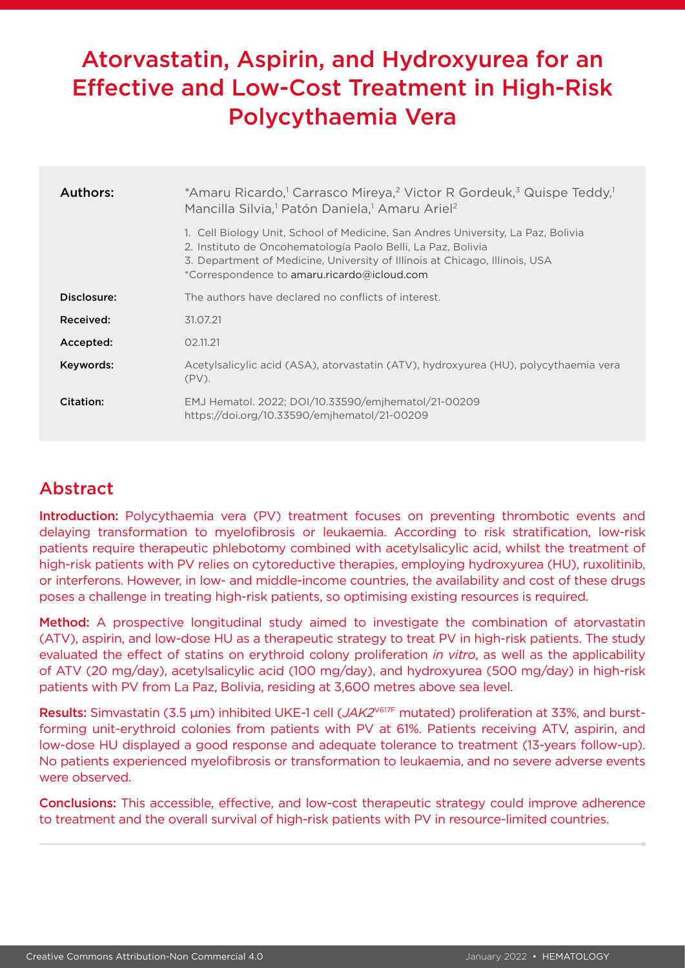# Atorvastatin, Aspirin, and Hydroxyurea for an Effective and Low-Cost Treatment in High-Risk Polycythaemia Vera

| Authors:    | *Amaru Ricardo, <sup>1</sup> Carrasco Mireya, <sup>2</sup> Victor R Gordeuk, <sup>3</sup> Quispe Teddy, <sup>1</sup><br>Mancilla Silvia, <sup>1</sup> Patón Daniela, <sup>1</sup> Amaru Ariel <sup>2</sup>                                                                     |  |  |  |  |  |  |
|-------------|--------------------------------------------------------------------------------------------------------------------------------------------------------------------------------------------------------------------------------------------------------------------------------|--|--|--|--|--|--|
|             | 1. Cell Biology Unit, School of Medicine, San Andres University, La Paz, Bolivia<br>2. Instituto de Oncohematología Paolo Belli, La Paz, Bolivia<br>3. Department of Medicine, University of Illinois at Chicago, Illinois, USA<br>*Correspondence to amaru.ricardo@icloud.com |  |  |  |  |  |  |
| Disclosure: | The authors have declared no conflicts of interest.                                                                                                                                                                                                                            |  |  |  |  |  |  |
| Received:   | 31.07.21                                                                                                                                                                                                                                                                       |  |  |  |  |  |  |
| Accepted:   | 02.11.21                                                                                                                                                                                                                                                                       |  |  |  |  |  |  |
| Keywords:   | Acetylsalicylic acid (ASA), atorvastatin (ATV), hydroxyurea (HU), polycythaemia vera<br>$(PV)$ .                                                                                                                                                                               |  |  |  |  |  |  |
| Citation:   | EMJ Hematol. 2022; DOI/10.33590/emjhematol/21-00209<br>https://doi.org/10.33590/emjhematol/21-00209                                                                                                                                                                            |  |  |  |  |  |  |

## Abstract

Introduction: Polycythaemia vera (PV) treatment focuses on preventing thrombotic events and delaying transformation to myelofibrosis or leukaemia. According to risk stratification, low-risk patients require therapeutic phlebotomy combined with acetylsalicylic acid, whilst the treatment of high-risk patients with PV relies on cytoreductive therapies, employing hydroxyurea (HU), ruxolitinib, or interferons. However, in low- and middle-income countries, the availability and cost of these drugs poses a challenge in treating high-risk patients, so optimising existing resources is required.

Method: A prospective longitudinal study aimed to investigate the combination of atorvastatin (ATV), aspirin, and low-dose HU as a therapeutic strategy to treat PV in high-risk patients. The study evaluated the effect of statins on erythroid colony proliferation *in vitro*, as well as the applicability of ATV (20 mg/day), acetylsalicylic acid (100 mg/day), and hydroxyurea (500 mg/day) in high-risk patients with PV from La Paz, Bolivia, residing at 3,600 metres above sea level.

Results: Simvastatin (3.5 μm) inhibited UKE-1 cell (*JAK2*V617F mutated) proliferation at 33%, and burstforming unit-erythroid colonies from patients with PV at 61%. Patients receiving ATV, aspirin, and low-dose HU displayed a good response and adequate tolerance to treatment (13-years follow-up). No patients experienced myelofibrosis or transformation to leukaemia, and no severe adverse events were observed.

Conclusions: This accessible, effective, and low-cost therapeutic strategy could improve adherence to treatment and the overall survival of high-risk patients with PV in resource-limited countries.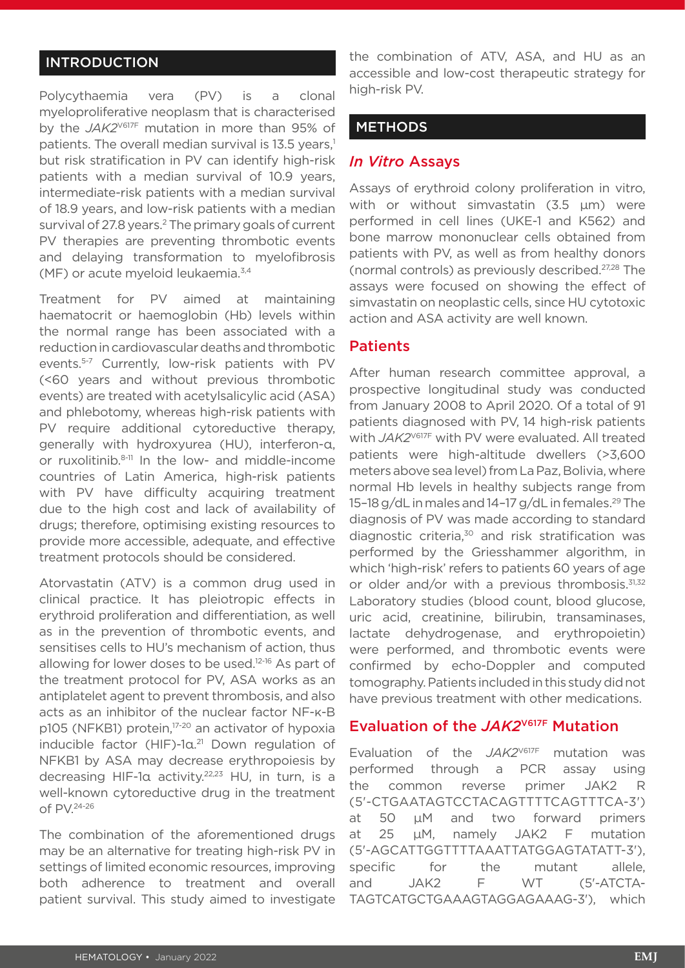### INTRODUCTION

Polycythaemia vera (PV) is a clonal myeloproliferative neoplasm that is characterised by the *JAK2*V617F mutation in more than 95% of patients. The overall median survival is 13.5 years,<sup>1</sup> but risk stratification in PV can identify high-risk patients with a median survival of 10.9 years, intermediate-risk patients with a median survival of 18.9 years, and low-risk patients with a median survival of 27.8 years.<sup>2</sup> The primary goals of current PV therapies are preventing thrombotic events and delaying transformation to myelofibrosis (MF) or acute myeloid leukaemia.3,4

Treatment for PV aimed at maintaining haematocrit or haemoglobin (Hb) levels within the normal range has been associated with a reduction in cardiovascular deaths and thrombotic events.5-7 Currently, low-risk patients with PV (<60 years and without previous thrombotic events) are treated with acetylsalicylic acid (ASA) and phlebotomy, whereas high-risk patients with PV require additional cytoreductive therapy, generally with hydroxyurea (HU), interferon-α, or ruxolitinib.8-11 In the low- and middle-income countries of Latin America, high-risk patients with PV have difficulty acquiring treatment due to the high cost and lack of availability of drugs; therefore, optimising existing resources to provide more accessible, adequate, and effective treatment protocols should be considered.

Atorvastatin (ATV) is a common drug used in clinical practice. It has pleiotropic effects in erythroid proliferation and differentiation, as well as in the prevention of thrombotic events, and sensitises cells to HU's mechanism of action, thus allowing for lower doses to be used.12-16 As part of the treatment protocol for PV, ASA works as an antiplatelet agent to prevent thrombosis, and also acts as an inhibitor of the nuclear factor NF-κ-B p105 (NFKB1) protein,<sup>17-20</sup> an activator of hypoxia inducible factor (HIF)-1α. 21 Down regulation of NFKB1 by ASA may decrease erythropoiesis by decreasing HIF-1α activity.<sup>22,23</sup> HU, in turn, is a well-known cytoreductive drug in the treatment of PV.24-26

The combination of the aforementioned drugs may be an alternative for treating high-risk PV in settings of limited economic resources, improving both adherence to treatment and overall patient survival. This study aimed to investigate

the combination of ATV, ASA, and HU as an accessible and low-cost therapeutic strategy for high-risk PV.

#### **METHODS**

#### *In Vitro* Assays

Assays of erythroid colony proliferation in vitro, with or without simvastatin (3.5 μm) were performed in cell lines (UKE-1 and K562) and bone marrow mononuclear cells obtained from patients with PV, as well as from healthy donors (normal controls) as previously described.27,28 The assays were focused on showing the effect of simvastatin on neoplastic cells, since HU cytotoxic action and ASA activity are well known.

#### **Patients**

After human research committee approval, a prospective longitudinal study was conducted from January 2008 to April 2020. Of a total of 91 patients diagnosed with PV, 14 high-risk patients with *JAK2*V617F with PV were evaluated. All treated patients were high-altitude dwellers (>3,600 meters above sea level) from La Paz, Bolivia, where normal Hb levels in healthy subjects range from 15–18 g/dL in males and 14–17 g/dL in females.<sup>29</sup> The diagnosis of PV was made according to standard diagnostic criteria, $30$  and risk stratification was performed by the Griesshammer algorithm, in which 'high-risk' refers to patients 60 years of age or older and/or with a previous thrombosis. $31,32$ Laboratory studies (blood count, blood glucose, uric acid, creatinine, bilirubin, transaminases, lactate dehydrogenase, and erythropoietin) were performed, and thrombotic events were confirmed by echo-Doppler and computed tomography. Patients included in this study did not have previous treatment with other medications.

#### Evaluation of the *JAK2*V617F Mutation

Evaluation of the *JAK2*V617F mutation was performed through a PCR assay using the common reverse primer JAK2 R (5'-CTGAATAGTCCTACAGTTTTCAGTTTCA-3') at 50 μM and two forward primers at 25  μM, namely JAK2 F mutation (5'-AGCATTGGTTTTAAATTATGGAGTATATT-3'), specific for the mutant allele, and JAK2 F WT (5'-ATCTA-TAGTCATGCTGAAAGTAGGAGAAAG-3'), which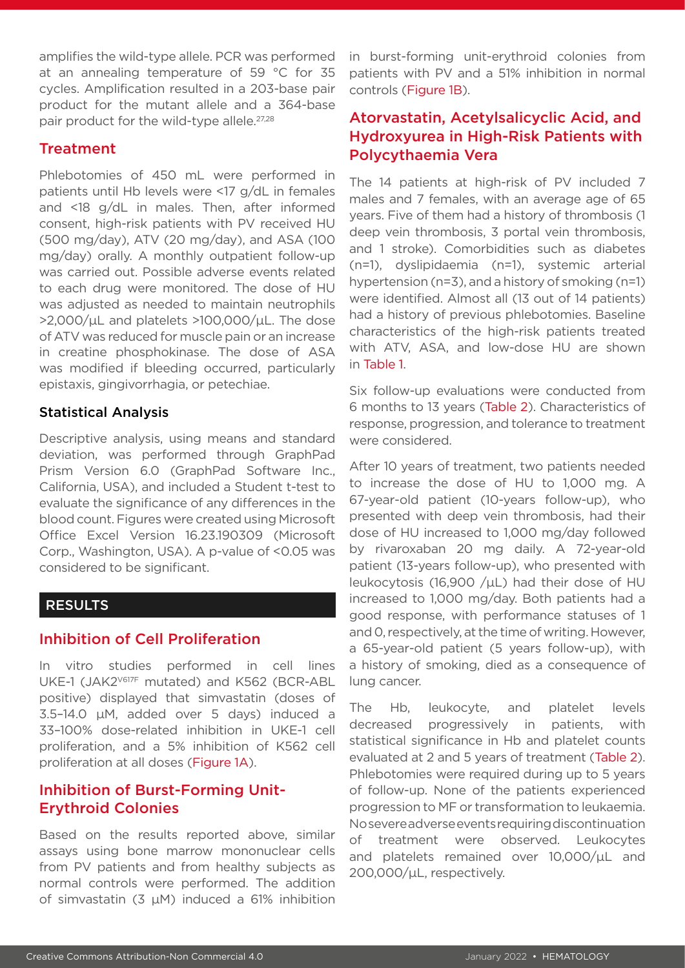amplifies the wild-type allele. PCR was performed at an annealing temperature of 59 °C for 35 cycles. Amplification resulted in a 203-base pair product for the mutant allele and a 364-base pair product for the wild-type allele.<sup>27,28</sup>

#### **Treatment**

Phlebotomies of 450 mL were performed in patients until Hb levels were <17 g/dL in females and <18 g/dL in males. Then, after informed consent, high-risk patients with PV received HU (500 mg/day), ATV (20 mg/day), and ASA (100 mg/day) orally. A monthly outpatient follow-up was carried out. Possible adverse events related to each drug were monitored. The dose of HU was adjusted as needed to maintain neutrophils >2,000/μL and platelets >100,000/μL. The dose of ATV was reduced for muscle pain or an increase in creatine phosphokinase. The dose of ASA was modified if bleeding occurred, particularly epistaxis, gingivorrhagia, or petechiae.

#### Statistical Analysis

Descriptive analysis, using means and standard deviation, was performed through GraphPad Prism Version 6.0 (GraphPad Software Inc., California, USA), and included a Student t-test to evaluate the significance of any differences in the blood count. Figures were created using Microsoft Office Excel Version 16.23.190309 (Microsoft Corp., Washington, USA). A p-value of <0.05 was considered to be significant.

#### RESULTS

### Inhibition of Cell Proliferation

In vitro studies performed in cell lines UKE-1 (JAK2V617F mutated) and K562 (BCR-ABL positive) displayed that simvastatin (doses of 3.5–14.0 µM, added over 5 days) induced a 33–100% dose-related inhibition in UKE-1 cell proliferation, and a 5% inhibition of K562 cell proliferation at all doses (Figure 1A).

## Inhibition of Burst-Forming Unit-Erythroid Colonies

Based on the results reported above, similar assays using bone marrow mononuclear cells from PV patients and from healthy subjects as normal controls were performed. The addition of simvastatin (3  $\mu$ M) induced a 61% inhibition in burst-forming unit-erythroid colonies from patients with PV and a 51% inhibition in normal controls (Figure 1B).

## Atorvastatin, Acetylsalicyclic Acid, and Hydroxyurea in High-Risk Patients with Polycythaemia Vera

The 14 patients at high-risk of PV included 7 males and 7 females, with an average age of 65 years. Five of them had a history of thrombosis (1 deep vein thrombosis, 3 portal vein thrombosis, and 1 stroke). Comorbidities such as diabetes (n=1), dyslipidaemia (n=1), systemic arterial hypertension (n=3), and a history of smoking (n=1) were identified. Almost all (13 out of 14 patients) had a history of previous phlebotomies. Baseline characteristics of the high-risk patients treated with ATV, ASA, and low-dose HU are shown in Table 1.

Six follow-up evaluations were conducted from 6 months to 13 years (Table 2). Characteristics of response, progression, and tolerance to treatment were considered.

After 10 years of treatment, two patients needed to increase the dose of HU to 1,000 mg. A 67-year-old patient (10-years follow-up), who presented with deep vein thrombosis, had their dose of HU increased to 1,000 mg/day followed by rivaroxaban 20 mg daily. A 72-year-old patient (13-years follow-up), who presented with leukocytosis (16,900 / $\mu$ L) had their dose of HU increased to 1,000 mg/day. Both patients had a good response, with performance statuses of 1 and 0, respectively, at the time of writing. However, a 65-year-old patient (5 years follow-up), with a history of smoking, died as a consequence of lung cancer.

The Hb, leukocyte, and platelet levels decreased progressively in patients, with statistical significance in Hb and platelet counts evaluated at 2 and 5 years of treatment (Table 2). Phlebotomies were required during up to 5 years of follow-up. None of the patients experienced progression to MF or transformation to leukaemia. No severe adverse events requiring discontinuation of treatment were observed. Leukocytes and platelets remained over 10,000/μL and 200,000/μL, respectively.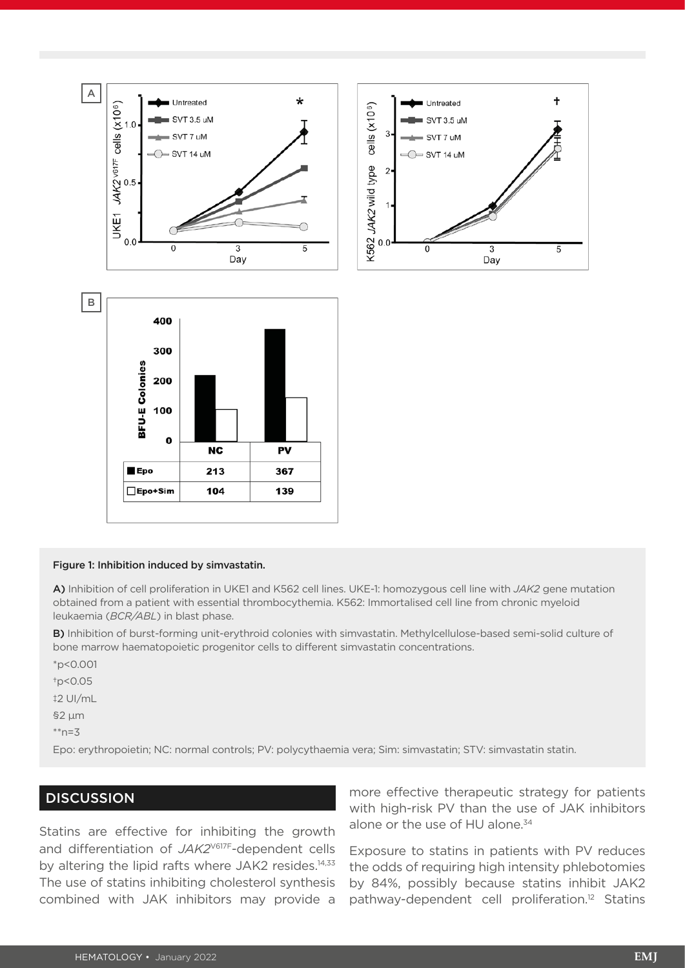

#### Figure 1: Inhibition induced by simvastatin.

A) Inhibition of cell proliferation in UKE1 and K562 cell lines. UKE-1: homozygous cell line with *JAK2* gene mutation obtained from a patient with essential thrombocythemia. K562: Immortalised cell line from chronic myeloid leukaemia (*BCR/ABL*) in blast phase.

B) Inhibition of burst-forming unit-erythroid colonies with simvastatin. Methylcellulose-based semi-solid culture of bone marrow haematopoietic progenitor cells to different simvastatin concentrations.

\*p<0.001

†p<0.05

‡2 UI/mL

§2 μm

 $*<sub>n=3</sub>$ 

Epo: erythropoietin; NC: normal controls; PV: polycythaemia vera; Sim: simvastatin; STV: simvastatin statin.

#### **DISCUSSION**

Statins are effective for inhibiting the growth and differentiation of *JAK2*V617F-dependent cells by altering the lipid rafts where JAK2 resides.<sup>14,33</sup> The use of statins inhibiting cholesterol synthesis combined with JAK inhibitors may provide a

more effective therapeutic strategy for patients with high-risk PV than the use of JAK inhibitors alone or the use of HU alone.<sup>34</sup>

Exposure to statins in patients with PV reduces the odds of requiring high intensity phlebotomies by 84%, possibly because statins inhibit JAK2 pathway-dependent cell proliferation.12 Statins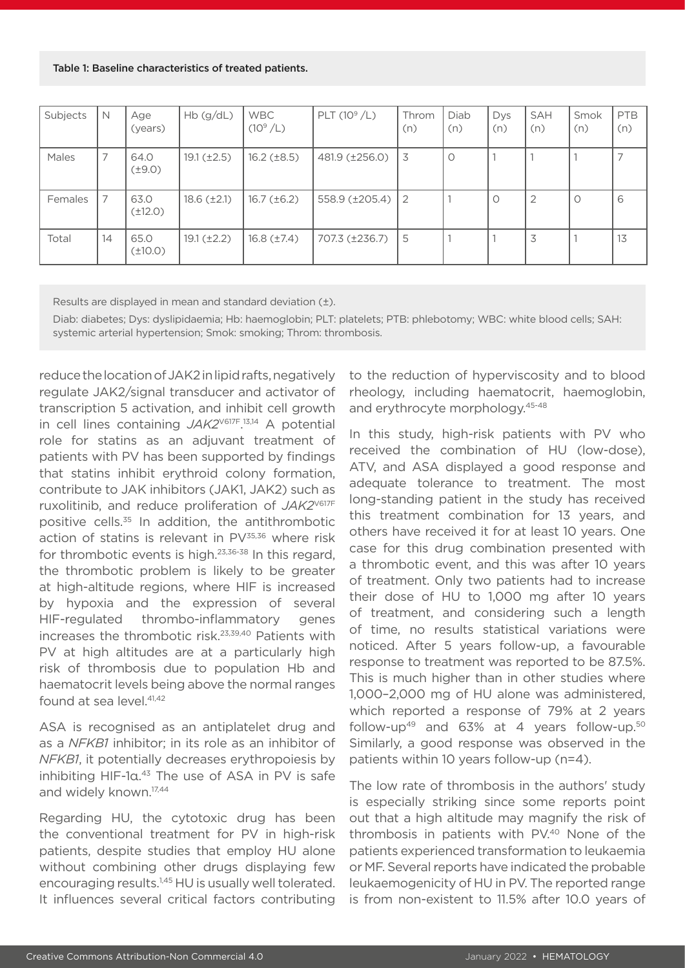#### Table 1: Baseline characteristics of treated patients.

| Subjects | N  | Age<br>(years)       | Hb(g/dL)           | <b>WBC</b><br>$(10^9/L)$ | PLT $(10^9 / L)$                     | Throm<br>(n) | Diab<br>(n) | Dys<br>(n) | <b>SAH</b><br>(n) | Smok<br>(n) | PTB<br>(n) |
|----------|----|----------------------|--------------------|--------------------------|--------------------------------------|--------------|-------------|------------|-------------------|-------------|------------|
| Males    | 7  | 64.0<br>$(\pm 9.0)$  | $19.1 (\pm 2.5)$   | $16.2 \; (\pm 8.5)$      | 481.9 (±256.0)                       | 3            | $\circ$     |            |                   |             |            |
| Females  | 7  | 63.0<br>$(\pm 12.0)$ | $18.6 \ (\pm 2.1)$ | $16.7 \, (\pm 6.2)$      | $558.9 \left( \pm 205.4 \right)$   2 |              |             | $\circ$    | $\overline{2}$    | $\circ$     | 6          |
| Total    | 14 | 65.0<br>$(\pm 10.0)$ | $19.1 (\pm 2.2)$   | $16.8 \, (\pm 7.4)$      | 707.3 (±236.7)                       | 5            |             |            | 3                 |             | 13         |

Results are displayed in mean and standard deviation (±).

Diab: diabetes; Dys: dyslipidaemia; Hb: haemoglobin; PLT: platelets; PTB: phlebotomy; WBC: white blood cells; SAH: systemic arterial hypertension; Smok: smoking; Throm: thrombosis.

reduce the location of JAK2 in lipid rafts, negatively regulate JAK2/signal transducer and activator of transcription 5 activation, and inhibit cell growth in cell lines containing *JAK2*V617F. 13,14 A potential role for statins as an adjuvant treatment of patients with PV has been supported by findings that statins inhibit erythroid colony formation, contribute to JAK inhibitors (JAK1, JAK2) such as ruxolitinib, and reduce proliferation of *JAK2*V617F positive cells.35 In addition, the antithrombotic action of statins is relevant in  $PV^{35,36}$  where risk for thrombotic events is high.23,36-38 In this regard, the thrombotic problem is likely to be greater at high-altitude regions, where HIF is increased by hypoxia and the expression of several HIF-regulated thrombo-inflammatory genes increases the thrombotic risk.23,39,40 Patients with PV at high altitudes are at a particularly high risk of thrombosis due to population Hb and haematocrit levels being above the normal ranges found at sea  $level$   $41,42$ 

ASA is recognised as an antiplatelet drug and as a *NFKB1* inhibitor; in its role as an inhibitor of *NFKB1*, it potentially decreases erythropoiesis by inhibiting HIF-1α. 43 The use of ASA in PV is safe and widely known.17,44

Regarding HU, the cytotoxic drug has been the conventional treatment for PV in high-risk patients, despite studies that employ HU alone without combining other drugs displaying few encouraging results.<sup>1,45</sup> HU is usually well tolerated. It influences several critical factors contributing

to the reduction of hyperviscosity and to blood rheology, including haematocrit, haemoglobin, and erythrocyte morphology.45-48

In this study, high-risk patients with PV who received the combination of HU (low-dose), ATV, and ASA displayed a good response and adequate tolerance to treatment. The most long-standing patient in the study has received this treatment combination for 13 years, and others have received it for at least 10 years. One case for this drug combination presented with a thrombotic event, and this was after 10 years of treatment. Only two patients had to increase their dose of HU to 1,000 mg after 10 years of treatment, and considering such a length of time, no results statistical variations were noticed. After 5 years follow-up, a favourable response to treatment was reported to be 87.5%. This is much higher than in other studies where 1,000–2,000 mg of HU alone was administered, which reported a response of 79% at 2 years follow-up<sup>49</sup> and  $63\%$  at 4 years follow-up.<sup>50</sup> Similarly, a good response was observed in the patients within 10 years follow-up (n=4).

The low rate of thrombosis in the authors' study is especially striking since some reports point out that a high altitude may magnify the risk of thrombosis in patients with PV.40 None of the patients experienced transformation to leukaemia or MF. Several reports have indicated the probable leukaemogenicity of HU in PV. The reported range is from non-existent to 11.5% after 10.0 years of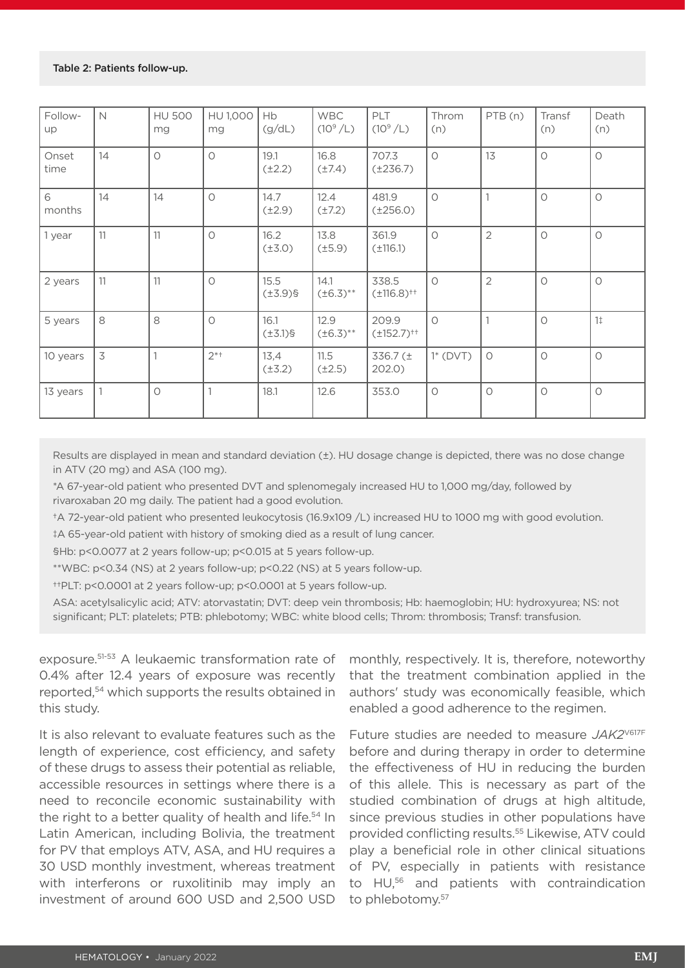| Follow-<br>up | $\mathbb N$              | <b>HU 500</b><br>mg | HU 1,000<br>mg | Hb<br>(g/dL)          | <b>WBC</b><br>$(10^9/L)$ | PLT<br>$(10^9/L)$           | Throm<br>(n) | PTB(n)              | Transf<br>(n) | Death<br>(n)   |
|---------------|--------------------------|---------------------|----------------|-----------------------|--------------------------|-----------------------------|--------------|---------------------|---------------|----------------|
| Onset<br>time | 14                       | $\circ$             | $\circ$        | 19.1<br>$(\pm 2.2)$   | 16.8<br>$(\pm 7.4)$      | 707.3<br>$(\pm 236.7)$      | $\circ$      | 13                  | $\circ$       | $\circ$        |
| 6<br>months   | 14                       | 14                  | $\circ$        | 14.7<br>$(\pm 2.9)$   | 12.4<br>$(\pm 7.2)$      | 481.9<br>$(\pm 256.0)$      | $\circ$      | 1                   | $\bigcirc$    | $\circ$        |
| 1 year        | 11                       | 11                  | $\circ$        | 16.2<br>$(\pm 3.0)$   | 13.8<br>$(\pm 5.9)$      | 361.9<br>$(\pm 116.1)$      | $\circ$      | $\overline{2}$      | $\circ$       | $\circ$        |
| 2 years       | 11                       | 11                  | $\circ$        | 15.5<br>$(\pm 3.9)$ § | 14.1<br>$(\pm 6.3)$ **   | 338.5<br>$(\pm 116.8)^{++}$ | $\circ$      | $\overline{2}$      | $\circ$       | $\circ$        |
| 5 years       | 8                        | 8                   | $\circ$        | 16.1<br>$(\pm 3.1)$ § | 12.9<br>$(\pm 6.3)$ **   | 209.9<br>$(\pm 152.7)^{++}$ | $\bigcirc$   | $\overline{1}$      | $\circ$       | 1 <sup>†</sup> |
| 10 years      | $\overline{\mathcal{S}}$ |                     | $2^{*+}$       | 13,4<br>$(\pm 3.2)$   | 11.5<br>$(\pm 2.5)$      | 336.7 (±<br>202.0)          | $1^*$ (DVT)  | $\circlearrowright$ | $\bigcirc$    | $\circ$        |
| 13 years      |                          | $\circ$             |                | 18.1                  | 12.6                     | 353.0                       | $\circ$      | $\circ$             | $\circ$       | $\circ$        |

Results are displayed in mean and standard deviation (±). HU dosage change is depicted, there was no dose change in ATV (20 mg) and ASA (100 mg).

\*A 67-year-old patient who presented DVT and splenomegaly increased HU to 1,000 mg/day, followed by rivaroxaban 20 mg daily. The patient had a good evolution.

†A 72-year-old patient who presented leukocytosis (16.9x109 /L) increased HU to 1000 mg with good evolution.

‡A 65-year-old patient with history of smoking died as a result of lung cancer.

§Hb: p<0.0077 at 2 years follow-up; p<0.015 at 5 years follow-up.

\*\*WBC: p<0.34 (NS) at 2 years follow-up; p<0.22 (NS) at 5 years follow-up.

††PLT: p<0.0001 at 2 years follow-up; p<0.0001 at 5 years follow-up.

ASA: acetylsalicylic acid; ATV: atorvastatin; DVT: deep vein thrombosis; Hb: haemoglobin; HU: hydroxyurea; NS: not significant; PLT: platelets; PTB: phlebotomy; WBC: white blood cells; Throm: thrombosis; Transf: transfusion.

exposure.<sup>51-53</sup> A leukaemic transformation rate of 0.4% after 12.4 years of exposure was recently reported,54 which supports the results obtained in this study.

It is also relevant to evaluate features such as the length of experience, cost efficiency, and safety of these drugs to assess their potential as reliable, accessible resources in settings where there is a need to reconcile economic sustainability with the right to a better quality of health and life.<sup>54</sup> In Latin American, including Bolivia, the treatment for PV that employs ATV, ASA, and HU requires a 30 USD monthly investment, whereas treatment with interferons or ruxolitinib may imply an investment of around 600 USD and 2,500 USD monthly, respectively. It is, therefore, noteworthy that the treatment combination applied in the authors' study was economically feasible, which enabled a good adherence to the regimen.

Future studies are needed to measure JAK2<sup>V617F</sup> before and during therapy in order to determine the effectiveness of HU in reducing the burden of this allele. This is necessary as part of the studied combination of drugs at high altitude, since previous studies in other populations have provided conflicting results.55 Likewise, ATV could play a beneficial role in other clinical situations of PV, especially in patients with resistance to HU,56 and patients with contraindication to phlebotomy.<sup>57</sup>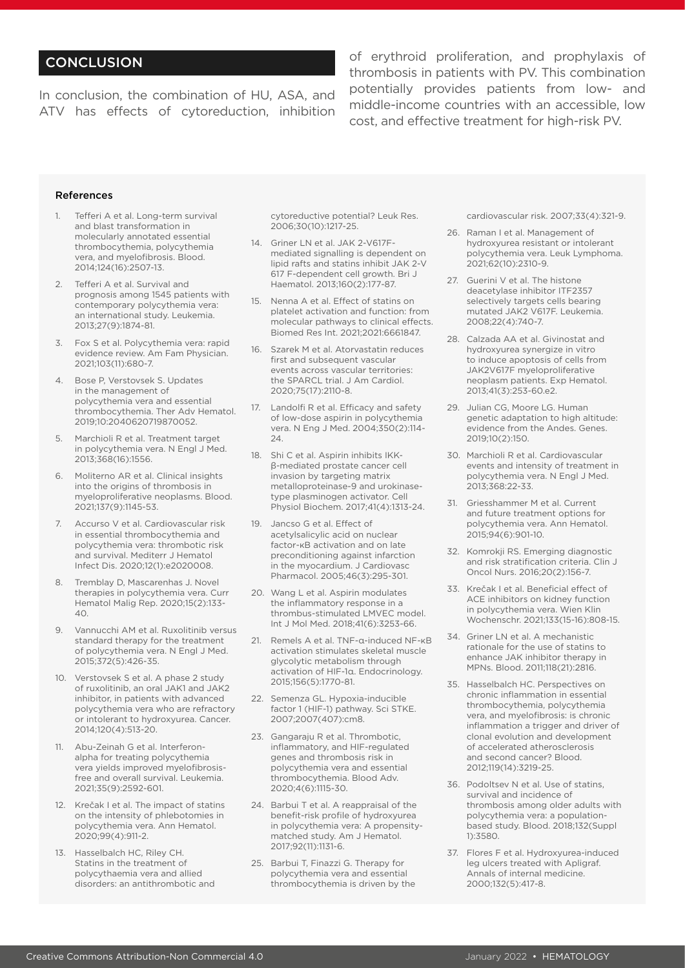### **CONCLUSION**

In conclusion, the combination of HU, ASA, and ATV has effects of cytoreduction, inhibition of erythroid proliferation, and prophylaxis of thrombosis in patients with PV. This combination potentially provides patients from low- and middle-income countries with an accessible, low cost, and effective treatment for high-risk PV.

#### References

- Tefferi A et al. Long-term survival and blast transformation in molecularly annotated essential thrombocythemia, polycythemia vera, and myelofibrosis. Blood. 2014;124(16):2507-13.
- 2. Tefferi A et al. Survival and prognosis among 1545 patients with contemporary polycythemia vera: an international study. Leukemia. 2013;27(9):1874-81.
- 3. Fox S et al. Polycythemia vera: rapid evidence review. Am Fam Physician. 2021;103(11):680-7.
- 4. Bose P, Verstovsek S. Updates in the management of polycythemia vera and essential thrombocythemia. Ther Adv Hematol. 2019;10:2040620719870052.
- Marchioli R et al. Treatment target in polycythemia vera. N Engl J Med. 2013;368(16):1556.
- 6. Moliterno AR et al. Clinical insights into the origins of thrombosis in myeloproliferative neoplasms. Blood. 2021;137(9):1145-53.
- 7. Accurso V et al. Cardiovascular risk in essential thrombocythemia and polycythemia vera: thrombotic risk and survival. Mediterr J Hematol Infect Dis. 2020;12(1):e2020008.
- 8. Tremblay D, Mascarenhas J. Novel therapies in polycythemia vera. Curr Hematol Malig Rep. 2020;15(2):133-  $40^{\circ}$
- 9. Vannucchi AM et al. Ruxolitinib versus standard therapy for the treatment of polycythemia vera. N Engl J Med. 2015;372(5):426-35.
- 10. Verstovsek S et al. A phase 2 study of ruxolitinib, an oral JAK1 and JAK2 inhibitor, in patients with advanced polycythemia vera who are refractory or intolerant to hydroxyurea. Cancer. 2014;120(4):513-20.
- 11. Abu-Zeinah G et al. Interferonalpha for treating polycythemia vera yields improved myelofibrosisfree and overall survival. Leukemia. 2021;35(9):2592-601.
- 12. Krečak I et al. The impact of statins on the intensity of phlebotomies in polycythemia vera. Ann Hematol. 2020;99(4):911-2.
- 13. Hasselbalch HC, Riley CH. Statins in the treatment of polycythaemia vera and allied disorders: an antithrombotic and

cytoreductive potential? Leuk Res. 2006;30(10):1217-25.

- 14. Griner LN et al. JAK 2-V617Fmediated signalling is dependent on lipid rafts and statins inhibit JAK 2-V 617 F-dependent cell growth. Bri J Haematol. 2013;160(2):177-87.
- 15. Nenna A et al. Effect of statins on platelet activation and function: from molecular pathways to clinical effects. Biomed Res Int. 2021;2021:6661847.
- 16. Szarek M et al. Atorvastatin reduces first and subsequent vascular events across vascular territories: the SPARCL trial. J Am Cardiol. 2020;75(17):2110-8.
- 17. Landolfi R et al. Efficacy and safety of low-dose aspirin in polycythemia vera. N Eng J Med. 2004;350(2):114- 24.
- 18. Shi C et al. Aspirin inhibits IKKβ-mediated prostate cancer cell invasion by targeting matrix metalloproteinase-9 and urokinasetype plasminogen activator. Cell Physiol Biochem. 2017;41(4):1313-24.
- 19. Jancso G et al. Effect of acetylsalicylic acid on nuclear factor-κB activation and on late preconditioning against infarction in the myocardium. J Cardiovasc Pharmacol. 2005;46(3):295-301.
- 20. Wang L et al. Aspirin modulates the inflammatory response in a thrombus-stimulated LMVEC model. Int J Mol Med. 2018;41(6):3253-66.
- 21. Remels A et al. TNF-α-induced NF-κB activation stimulates skeletal muscle glycolytic metabolism through activation of HIF-1α. Endocrinology. 2015;156(5):1770-81.
- 22. Semenza GL. Hypoxia-inducible factor 1 (HIF-1) pathway. Sci STKE. 2007;2007(407):cm8.
- 23. Gangaraju R et al. Thrombotic, inflammatory, and HIF-regulated genes and thrombosis risk in polycythemia vera and essential thrombocythemia. Blood Adv. 2020;4(6):1115-30.
- 24. Barbui T et al. A reappraisal of the benefit-risk profile of hydroxyurea in polycythemia vera: A propensitymatched study. Am J Hematol. 2017;92(11):1131-6.
- 25. Barbui T, Finazzi G. Therapy for polycythemia vera and essential thrombocythemia is driven by the

cardiovascular risk. 2007;33(4):321-9.

- 26. Raman I et al. Management of hydroxyurea resistant or intolerant polycythemia vera. Leuk Lymphoma. 2021;62(10):2310-9.
- 27. Guerini V et al. The histone deacetylase inhibitor ITF2357 selectively targets cells bearing mutated JAK2 V617F. Leukemia. 2008;22(4):740-7.
- 28. Calzada AA et al. Givinostat and hydroxyurea synergize in vitro to induce apoptosis of cells from JAK2V617F myeloproliferative neoplasm patients. Exp Hematol. 2013;41(3):253-60.e2.
- 29. Julian CG, Moore LG. Human genetic adaptation to high altitude: evidence from the Andes. Genes. 2019;10(2):150.
- 30. Marchioli R et al. Cardiovascular events and intensity of treatment in polycythemia vera. N Engl J Med. 2013;368:22-33.
- 31. Griesshammer M et al. Current and future treatment options for polycythemia vera. Ann Hematol. 2015;94(6):901-10.
- 32. Komrokji RS. Emerging diagnostic and risk stratification criteria. Clin J Oncol Nurs. 2016;20(2):156-7.
- 33. Krečak I et al. Beneficial effect of ACE inhibitors on kidney function in polycythemia vera. Wien Klin Wochenschr. 2021;133(15-16):808-15.
- 34. Griner LN et al. A mechanistic rationale for the use of statins to enhance JAK inhibitor therapy in MPNs. Blood. 2011;118(21):2816.
- 35. Hasselbalch HC. Perspectives on chronic inflammation in essential thrombocythemia, polycythemia vera, and myelofibrosis: is chronic inflammation a trigger and driver of clonal evolution and development of accelerated atherosclerosis and second cancer? Blood. 2012;119(14):3219-25.
- 36. Podoltsev N et al. Use of statins, survival and incidence of thrombosis among older adults with polycythemia vera: a populationbased study. Blood. 2018;132(Suppl 1):3580.
- 37. Flores F et al. Hydroxyurea-induced leg ulcers treated with Apligraf. Annals of internal medicine. 2000;132(5):417-8.